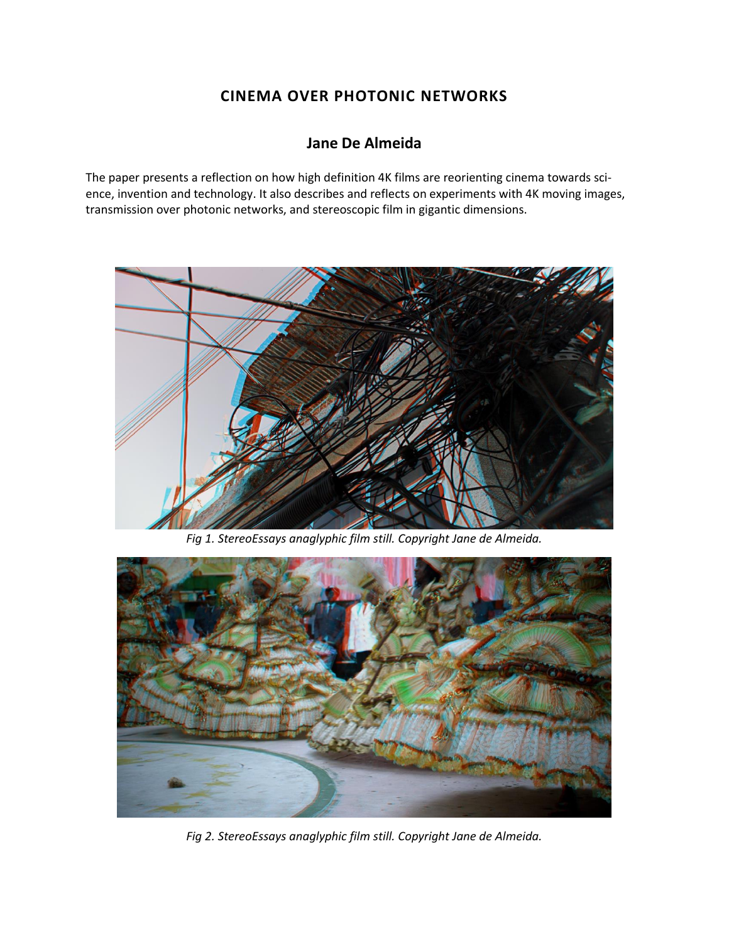# **CINEMA OVER PHOTONIC NETWORKS**

## **Jane De Almeida**

The paper presents a reflection on how high definition 4K films are reorienting cinema towards science, invention and technology. It also describes and reflects on experiments with 4K moving images, transmission over photonic networks, and stereoscopic film in gigantic dimensions.



*Fig 1. StereoEssays anaglyphic film still. Copyright Jane de Almeida.*



*Fig 2. StereoEssays anaglyphic film still. Copyright Jane de Almeida.*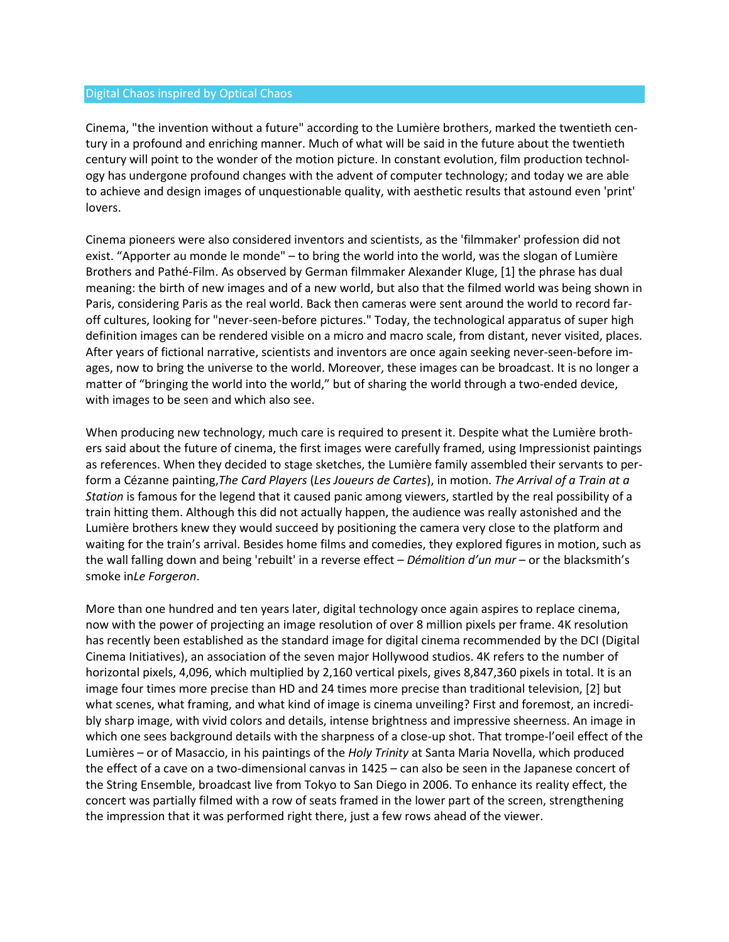#### Digital Chaos inspired by Optical Chaos

Cinema, "the invention without a future" according to the Lumière brothers, marked the twentieth century in a profound and enriching manner. Much of what will be said in the future about the twentieth century will point to the wonder of the motion picture. In constant evolution, film production technology has undergone profound changes with the advent of computer technology; and today we are able to achieve and design images of unquestionable quality, with aesthetic results that astound even 'print' lovers.

Cinema pioneers were also considered inventors and scientists, as the 'filmmaker' profession did not exist. "Apporter au monde le monde" – to bring the world into the world, was the slogan of Lumière Brothers and Pathé-Film. As observed by German filmmaker Alexander Kluge, [1] the phrase has dual meaning: the birth of new images and of a new world, but also that the filmed world was being shown in Paris, considering Paris as the real world. Back then cameras were sent around the world to record faroff cultures, looking for "never-seen-before pictures." Today, the technological apparatus of super high definition images can be rendered visible on a micro and macro scale, from distant, never visited, places. After years of fictional narrative, scientists and inventors are once again seeking never-seen-before images, now to bring the universe to the world. Moreover, these images can be broadcast. It is no longer a matter of "bringing the world into the world," but of sharing the world through a two-ended device, with images to be seen and which also see.

When producing new technology, much care is required to present it. Despite what the Lumière brothers said about the future of cinema, the first images were carefully framed, using Impressionist paintings as references. When they decided to stage sketches, the Lumière family assembled their servants to perform a Cézanne painting,*The Card Players* (*Les Joueurs de Cartes*), in motion. *The Arrival of a Train at a Station* is famous for the legend that it caused panic among viewers, startled by the real possibility of a train hitting them. Although this did not actually happen, the audience was really astonished and the Lumière brothers knew they would succeed by positioning the camera very close to the platform and waiting for the train's arrival. Besides home films and comedies, they explored figures in motion, such as the wall falling down and being 'rebuilt' in a reverse effect – *Démolition d'un mur* – or the blacksmith's smoke in*Le Forgeron*.

More than one hundred and ten years later, digital technology once again aspires to replace cinema, now with the power of projecting an image resolution of over 8 million pixels per frame. 4K resolution has recently been established as the standard image for digital cinema recommended by the DCI (Digital Cinema Initiatives), an association of the seven major Hollywood studios. 4K refers to the number of horizontal pixels, 4,096, which multiplied by 2,160 vertical pixels, gives 8,847,360 pixels in total. It is an image four times more precise than HD and 24 times more precise than traditional television, [2] but what scenes, what framing, and what kind of image is cinema unveiling? First and foremost, an incredibly sharp image, with vivid colors and details, intense brightness and impressive sheerness. An image in which one sees background details with the sharpness of a close-up shot. That trompe-l'oeil effect of the Lumières – or of Masaccio, in his paintings of the *Holy Trinity* at Santa Maria Novella, which produced the effect of a cave on a two-dimensional canvas in 1425 – can also be seen in the Japanese concert of the String Ensemble, broadcast live from Tokyo to San Diego in 2006. To enhance its reality effect, the concert was partially filmed with a row of seats framed in the lower part of the screen, strengthening the impression that it was performed right there, just a few rows ahead of the viewer.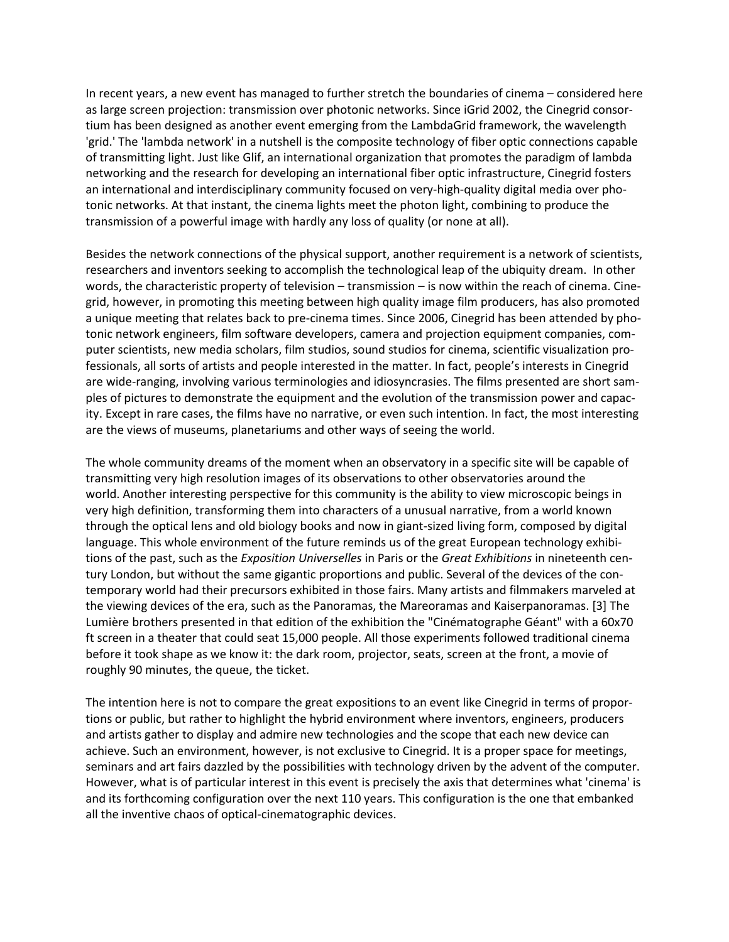In recent years, a new event has managed to further stretch the boundaries of cinema – considered here as large screen projection: transmission over photonic networks. Since iGrid 2002, the Cinegrid consortium has been designed as another event emerging from the LambdaGrid framework, the wavelength 'grid.' The 'lambda network' in a nutshell is the composite technology of fiber optic connections capable of transmitting light. Just like Glif, an international organization that promotes the paradigm of lambda networking and the research for developing an international fiber optic infrastructure, Cinegrid fosters an international and interdisciplinary community focused on very-high-quality digital media over photonic networks. At that instant, the cinema lights meet the photon light, combining to produce the transmission of a powerful image with hardly any loss of quality (or none at all).

Besides the network connections of the physical support, another requirement is a network of scientists, researchers and inventors seeking to accomplish the technological leap of the ubiquity dream. In other words, the characteristic property of television – transmission – is now within the reach of cinema. Cinegrid, however, in promoting this meeting between high quality image film producers, has also promoted a unique meeting that relates back to pre-cinema times. Since 2006, Cinegrid has been attended by photonic network engineers, film software developers, camera and projection equipment companies, computer scientists, new media scholars, film studios, sound studios for cinema, scientific visualization professionals, all sorts of artists and people interested in the matter. In fact, people's interests in Cinegrid are wide-ranging, involving various terminologies and idiosyncrasies. The films presented are short samples of pictures to demonstrate the equipment and the evolution of the transmission power and capacity. Except in rare cases, the films have no narrative, or even such intention. In fact, the most interesting are the views of museums, planetariums and other ways of seeing the world.

The whole community dreams of the moment when an observatory in a specific site will be capable of transmitting very high resolution images of its observations to other observatories around the world. Another interesting perspective for this community is the ability to view microscopic beings in very high definition, transforming them into characters of a unusual narrative, from a world known through the optical lens and old biology books and now in giant-sized living form, composed by digital language. This whole environment of the future reminds us of the great European technology exhibitions of the past, such as the *Exposition Universelles* in Paris or the *Great Exhibitions* in nineteenth century London, but without the same gigantic proportions and public. Several of the devices of the contemporary world had their precursors exhibited in those fairs. Many artists and filmmakers marveled at the viewing devices of the era, such as the Panoramas, the Mareoramas and Kaiserpanoramas. [3] The Lumière brothers presented in that edition of the exhibition the "Cinématographe Géant" with a 60x70 ft screen in a theater that could seat 15,000 people. All those experiments followed traditional cinema before it took shape as we know it: the dark room, projector, seats, screen at the front, a movie of roughly 90 minutes, the queue, the ticket.

The intention here is not to compare the great expositions to an event like Cinegrid in terms of proportions or public, but rather to highlight the hybrid environment where inventors, engineers, producers and artists gather to display and admire new technologies and the scope that each new device can achieve. Such an environment, however, is not exclusive to Cinegrid. It is a proper space for meetings, seminars and art fairs dazzled by the possibilities with technology driven by the advent of the computer. However, what is of particular interest in this event is precisely the axis that determines what 'cinema' is and its forthcoming configuration over the next 110 years. This configuration is the one that embanked all the inventive chaos of optical-cinematographic devices.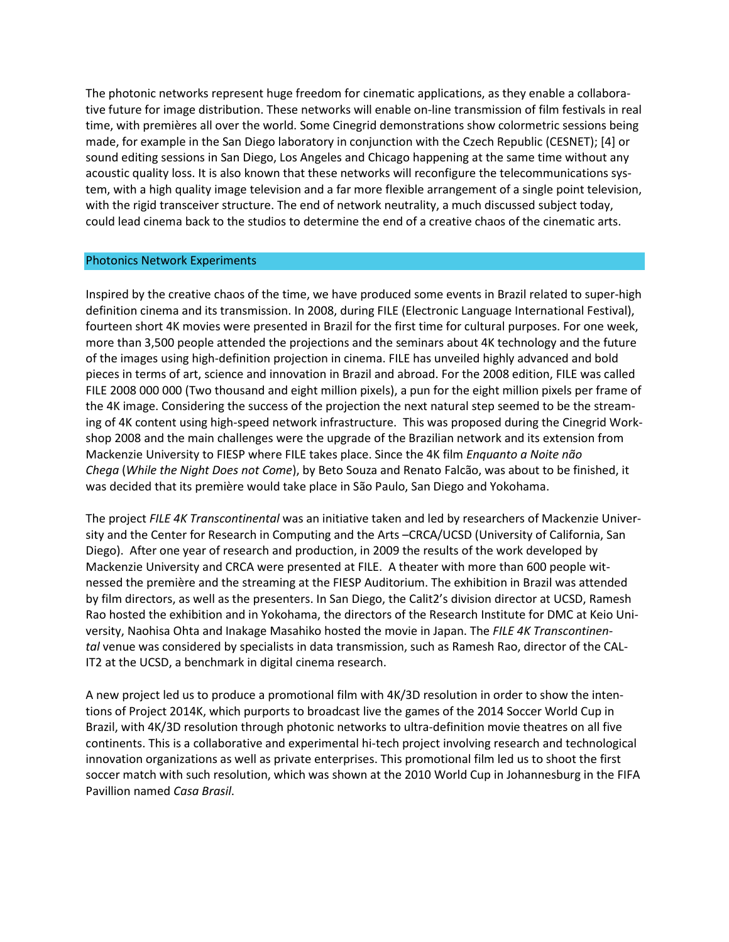The photonic networks represent huge freedom for cinematic applications, as they enable a collaborative future for image distribution. These networks will enable on-line transmission of film festivals in real time, with premières all over the world. Some Cinegrid demonstrations show colormetric sessions being made, for example in the San Diego laboratory in conjunction with the Czech Republic (CESNET); [4] or sound editing sessions in San Diego, Los Angeles and Chicago happening at the same time without any acoustic quality loss. It is also known that these networks will reconfigure the telecommunications system, with a high quality image television and a far more flexible arrangement of a single point television, with the rigid transceiver structure. The end of network neutrality, a much discussed subject today, could lead cinema back to the studios to determine the end of a creative chaos of the cinematic arts.

#### Photonics Network Experiments

Inspired by the creative chaos of the time, we have produced some events in Brazil related to super-high definition cinema and its transmission. In 2008, during FILE (Electronic Language International Festival), fourteen short 4K movies were presented in Brazil for the first time for cultural purposes. For one week, more than 3,500 people attended the projections and the seminars about 4K technology and the future of the images using high-definition projection in cinema. FILE has unveiled highly advanced and bold pieces in terms of art, science and innovation in Brazil and abroad. For the 2008 edition, FILE was called FILE 2008 000 000 (Two thousand and eight million pixels), a pun for the eight million pixels per frame of the 4K image. Considering the success of the projection the next natural step seemed to be the streaming of 4K content using high-speed network infrastructure. This was proposed during the Cinegrid Workshop 2008 and the main challenges were the upgrade of the Brazilian network and its extension from Mackenzie University to FIESP where FILE takes place. Since the 4K film *Enquanto a Noite não Chega* (*While the Night Does not Come*), by Beto Souza and Renato Falcão, was about to be finished, it was decided that its première would take place in São Paulo, San Diego and Yokohama.

The project *FILE 4K Transcontinental* was an initiative taken and led by researchers of Mackenzie University and the Center for Research in Computing and the Arts –CRCA/UCSD (University of California, San Diego). After one year of research and production, in 2009 the results of the work developed by Mackenzie University and CRCA were presented at FILE. A theater with more than 600 people witnessed the première and the streaming at the FIESP Auditorium. The exhibition in Brazil was attended by film directors, as well as the presenters. In San Diego, the Calit2's division director at UCSD, Ramesh Rao hosted the exhibition and in Yokohama, the directors of the Research Institute for DMC at Keio University, Naohisa Ohta and Inakage Masahiko hosted the movie in Japan. The *FILE 4K Transcontinental* venue was considered by specialists in data transmission, such as Ramesh Rao, director of the CAL-IT2 at the UCSD, a benchmark in digital cinema research.

A new project led us to produce a promotional film with 4K/3D resolution in order to show the intentions of Project 2014K, which purports to broadcast live the games of the 2014 Soccer World Cup in Brazil, with 4K/3D resolution through photonic networks to ultra-definition movie theatres on all five continents. This is a collaborative and experimental hi-tech project involving research and technological innovation organizations as well as private enterprises. This promotional film led us to shoot the first soccer match with such resolution, which was shown at the 2010 World Cup in Johannesburg in the FIFA Pavillion named *Casa Brasil*.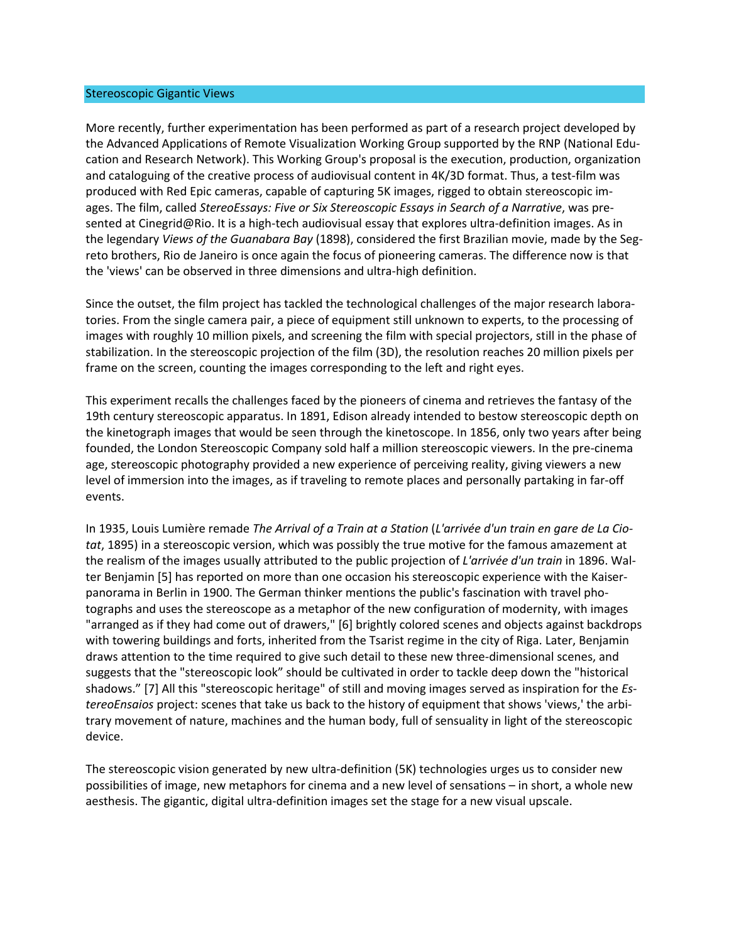#### Stereoscopic Gigantic Views

More recently, further experimentation has been performed as part of a research project developed by the Advanced Applications of Remote Visualization Working Group supported by the RNP (National Education and Research Network). This Working Group's proposal is the execution, production, organization and cataloguing of the creative process of audiovisual content in 4K/3D format. Thus, a test-film was produced with Red Epic cameras, capable of capturing 5K images, rigged to obtain stereoscopic images. The film, called *StereoEssays: Five or Six Stereoscopic Essays in Search of a Narrative*, was presented at Cinegrid@Rio. It is a high-tech audiovisual essay that explores ultra-definition images. As in the legendary *Views of the Guanabara Bay* (1898), considered the first Brazilian movie, made by the Segreto brothers, Rio de Janeiro is once again the focus of pioneering cameras. The difference now is that the 'views' can be observed in three dimensions and ultra-high definition.

Since the outset, the film project has tackled the technological challenges of the major research laboratories. From the single camera pair, a piece of equipment still unknown to experts, to the processing of images with roughly 10 million pixels, and screening the film with special projectors, still in the phase of stabilization. In the stereoscopic projection of the film (3D), the resolution reaches 20 million pixels per frame on the screen, counting the images corresponding to the left and right eyes.

This experiment recalls the challenges faced by the pioneers of cinema and retrieves the fantasy of the 19th century stereoscopic apparatus. In 1891, Edison already intended to bestow stereoscopic depth on the kinetograph images that would be seen through the kinetoscope. In 1856, only two years after being founded, the London Stereoscopic Company sold half a million stereoscopic viewers. In the pre-cinema age, stereoscopic photography provided a new experience of perceiving reality, giving viewers a new level of immersion into the images, as if traveling to remote places and personally partaking in far-off events.

In 1935, Louis Lumière remade *The Arrival of a Train at a Station* (*L'arrivée d'un train en gare de La Ciotat*, 1895) in a stereoscopic version, which was possibly the true motive for the famous amazement at the realism of the images usually attributed to the public projection of *L'arrivée d'un train* in 1896. Walter Benjamin [5] has reported on more than one occasion his stereoscopic experience with the Kaiserpanorama in Berlin in 1900. The German thinker mentions the public's fascination with travel photographs and uses the stereoscope as a metaphor of the new configuration of modernity, with images "arranged as if they had come out of drawers," [6] brightly colored scenes and objects against backdrops with towering buildings and forts, inherited from the Tsarist regime in the city of Riga. Later, Benjamin draws attention to the time required to give such detail to these new three-dimensional scenes, and suggests that the "stereoscopic look" should be cultivated in order to tackle deep down the "historical shadows." [7] All this "stereoscopic heritage" of still and moving images served as inspiration for the *EstereoEnsaios* project: scenes that take us back to the history of equipment that shows 'views,' the arbitrary movement of nature, machines and the human body, full of sensuality in light of the stereoscopic device.

The stereoscopic vision generated by new ultra-definition (5K) technologies urges us to consider new possibilities of image, new metaphors for cinema and a new level of sensations – in short, a whole new aesthesis. The gigantic, digital ultra-definition images set the stage for a new visual upscale.